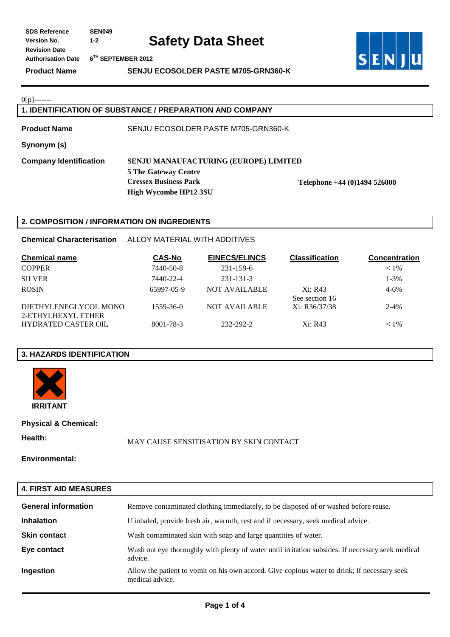**Product Name SENJU ECOSOLDER PASTE M705-GRN360-K** 



 $0[p]$ -------

### **1. IDENTIFICATION OF SUBSTANCE / PREPARATION AND COMPANY**

**Product Name** SENJU ECOSOLDER PASTE M705-GRN360-K

**Synonym (s)** 

**Company Identification SENJU MANAUFACTURING (EUROPE) LIMITED 5 The Gateway Centre Cressex Business Park Telephone +44 (0)1494 526000 High Wycombe HP12 3SU** 

### **2. COMPOSITION / INFORMATION ON INGREDIENTS**

**Chemical Characterisation** ALLOY MATERIAL WITH ADDITIVES

| <b>Chemical name</b>                        | <b>CAS-No</b> | <b>EINECS/ELINCS</b> | <b>Classification</b>     | <b>Concentration</b> |
|---------------------------------------------|---------------|----------------------|---------------------------|----------------------|
| <b>COPPER</b>                               | 7440-50-8     | 231-159-6            |                           | $< 1\%$              |
| <b>SILVER</b>                               | 7440-22-4     | 231-131-3            |                           | $1 - 3\%$            |
| <b>ROSIN</b>                                | 65997-05-9    | <b>NOT AVAILABLE</b> | Xi: R43<br>See section 16 | $4 - 6\%$            |
| DIETHYLENEGLYCOL MONO<br>2-ETHYLHEXYL ETHER | 1559-36-0     | <b>NOT AVAILABLE</b> | Xi: R36/37/38             | $2 - 4%$             |
| <b>HYDRATED CASTER OIL</b>                  | 8001-78-3     | 232-292-2            | Xi: R43                   | $< 1\%$              |

### **3. HAZARDS IDENTIFICATION**



**Physical & Chemical:** 

**Health:** MAY CAUSE SENSITISATION BY SKIN CONTACT

**Environmental:** 

# **4. FIRST AID MEASURES**

| <b>General information</b> | Remove contaminated clothing immediately, to be disposed of or washed before reuse.                             |
|----------------------------|-----------------------------------------------------------------------------------------------------------------|
| <b>Inhalation</b>          | If inhaled, provide fresh air, warmth, rest and if necessary, seek medical advice.                              |
| <b>Skin contact</b>        | Wash contaminated skin with soap and large quantities of water.                                                 |
| Eye contact                | Wash out eye thoroughly with plenty of water until irritation subsides. If necessary seek medical<br>advice.    |
| Ingestion                  | Allow the patient to vomit on his own accord. Give copious water to drink; if necessary seek<br>medical advice. |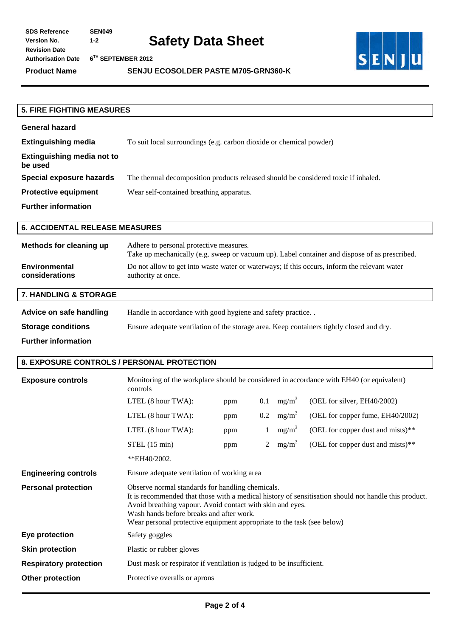**Product Name SENJU ECOSOLDER PASTE M705-GRN360-K** 



| <b>5. FIRE FIGHTING MEASURES</b>             |                                                                                    |
|----------------------------------------------|------------------------------------------------------------------------------------|
|                                              |                                                                                    |
| <b>General hazard</b>                        |                                                                                    |
| <b>Extinguishing media</b>                   | To suit local surroundings (e.g. carbon dioxide or chemical powder)                |
| <b>Extinguishing media not to</b><br>be used |                                                                                    |
| Special exposure hazards                     | The thermal decomposition products released should be considered toxic if inhaled. |
| <b>Protective equipment</b>                  | Wear self-contained breathing apparatus.                                           |
| <b>Further information</b>                   |                                                                                    |
|                                              |                                                                                    |

## **6. ACCIDENTAL RELEASE MEASURES**

| Methods for cleaning up | Adhere to personal protective measures.<br>Take up mechanically (e.g. sweep or vacuum up). Label container and dispose of as prescribed. |
|-------------------------|------------------------------------------------------------------------------------------------------------------------------------------|
| <b>Environmental</b>    | Do not allow to get into waste water or waterways; if this occurs, inform the relevant water                                             |
| considerations          | authority at once.                                                                                                                       |

# **7. HANDLING & STORAGE**

| Advice on safe handling    | Handle in accordance with good hygiene and safety practice                               |  |  |
|----------------------------|------------------------------------------------------------------------------------------|--|--|
| <b>Storage conditions</b>  | Ensure adequate ventilation of the storage area. Keep containers tightly closed and dry. |  |  |
| <b>Further information</b> |                                                                                          |  |  |

#### **8. EXPOSURE CONTROLS / PERSONAL PROTECTION**

| <b>Exposure controls</b>      | Monitoring of the workplace should be considered in accordance with EH40 (or equivalent)<br>controls                                                                                                                                                                                                                                        |     |                |          |                                   |
|-------------------------------|---------------------------------------------------------------------------------------------------------------------------------------------------------------------------------------------------------------------------------------------------------------------------------------------------------------------------------------------|-----|----------------|----------|-----------------------------------|
|                               | LTEL (8 hour TWA):                                                                                                                                                                                                                                                                                                                          | ppm | 0.1            | $mg/m^3$ | (OEL for silver, EH40/2002)       |
|                               | LTEL (8 hour TWA):                                                                                                                                                                                                                                                                                                                          | ppm | 0.2            | $mg/m^3$ | (OEL for copper fume, EH40/2002)  |
|                               | LTEL (8 hour TWA):                                                                                                                                                                                                                                                                                                                          | ppm |                | $mg/m^3$ | (OEL for copper dust and mists)** |
|                               | STEL(15 min)                                                                                                                                                                                                                                                                                                                                | ppm | $\overline{2}$ | $mg/m^3$ | (OEL for copper dust and mists)** |
|                               | **EH40/2002.                                                                                                                                                                                                                                                                                                                                |     |                |          |                                   |
| <b>Engineering controls</b>   | Ensure adequate ventilation of working area                                                                                                                                                                                                                                                                                                 |     |                |          |                                   |
| <b>Personal protection</b>    | Observe normal standards for handling chemicals.<br>It is recommended that those with a medical history of sensitisation should not handle this product.<br>Avoid breathing vapour. Avoid contact with skin and eyes.<br>Wash hands before breaks and after work.<br>Wear personal protective equipment appropriate to the task (see below) |     |                |          |                                   |
| Eye protection                | Safety goggles                                                                                                                                                                                                                                                                                                                              |     |                |          |                                   |
| <b>Skin protection</b>        | Plastic or rubber gloves                                                                                                                                                                                                                                                                                                                    |     |                |          |                                   |
| <b>Respiratory protection</b> | Dust mask or respirator if ventilation is judged to be insufficient.                                                                                                                                                                                                                                                                        |     |                |          |                                   |
| <b>Other protection</b>       | Protective overalls or aprons                                                                                                                                                                                                                                                                                                               |     |                |          |                                   |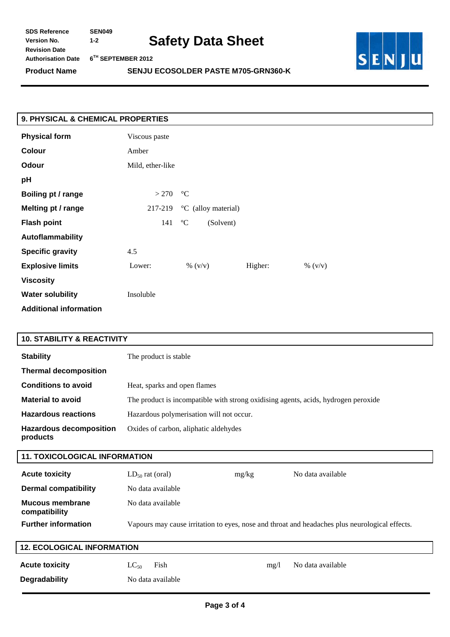| <b>SDS Reference</b>      | <b>SEN049</b>     |
|---------------------------|-------------------|
| <b>Version No.</b>        | 1-2               |
| <b>Revision Date</b>      |                   |
| <b>Authorisation Date</b> | $6^{\rm TH}$ SEP1 |
|                           |                   |

**Authorisation Date 6TH SEPTEMBER 2012** 





| 9. PHYSICAL & CHEMICAL PROPERTIES |                  |                          |         |           |
|-----------------------------------|------------------|--------------------------|---------|-----------|
| <b>Physical form</b>              | Viscous paste    |                          |         |           |
| Colour                            | Amber            |                          |         |           |
| Odour                             | Mild, ether-like |                          |         |           |
| pH                                |                  |                          |         |           |
| Boiling pt / range                | >270             | $\rm ^{\circ}C$          |         |           |
| Melting pt / range                | 217-219          | °C (alloy material)      |         |           |
| <b>Flash point</b>                | 141              | $\rm ^{o}C$<br>(Solvent) |         |           |
| Autoflammability                  |                  |                          |         |           |
| <b>Specific gravity</b>           | 4.5              |                          |         |           |
| <b>Explosive limits</b>           | Lower:           | $\% (v/v)$               | Higher: | % $(v/v)$ |
| <b>Viscosity</b>                  |                  |                          |         |           |
| <b>Water solubility</b>           | Insoluble        |                          |         |           |
| <b>Additional information</b>     |                  |                          |         |           |

## **10. STABILITY & REACTIVITY**

| <b>Stability</b>                           | The product is stable                                                              |
|--------------------------------------------|------------------------------------------------------------------------------------|
| <b>Thermal decomposition</b>               |                                                                                    |
| <b>Conditions to avoid</b>                 | Heat, sparks and open flames                                                       |
| <b>Material to avoid</b>                   | The product is incompatible with strong oxidising agents, acids, hydrogen peroxide |
| <b>Hazardous reactions</b>                 | Hazardous polymerisation will not occur.                                           |
| <b>Hazardous decomposition</b><br>products | Oxides of carbon, aliphatic aldehydes                                              |

# **11. TOXICOLOGICAL INFORMATION**

| <b>Acute toxicity</b>            | $LD_{50}$ rat (oral) | mg/kg | No data available                                                                              |
|----------------------------------|----------------------|-------|------------------------------------------------------------------------------------------------|
| <b>Dermal compatibility</b>      | No data available    |       |                                                                                                |
| Mucous membrane<br>compatibility | No data available    |       |                                                                                                |
| <b>Further information</b>       |                      |       | Vapours may cause irritation to eyes, nose and throat and headaches plus neurological effects. |
|                                  |                      |       |                                                                                                |

# **12. ECOLOGICAL INFORMATION**

| <b>Acute toxicity</b> | $LC_{50}$ Fish    |
|-----------------------|-------------------|
| <b>Degradability</b>  | No data available |

mg/l No data available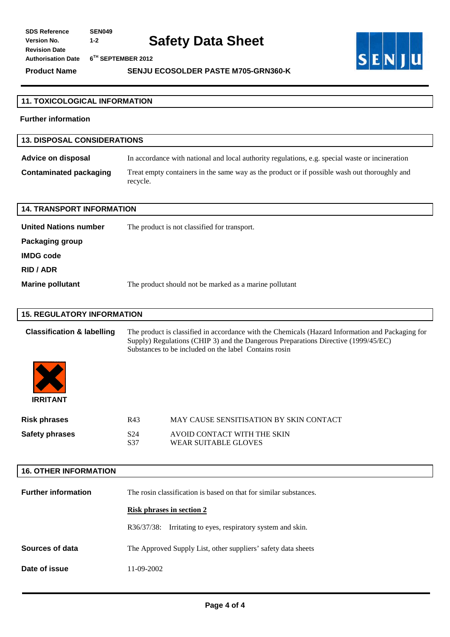**Product Name SENJU ECOSOLDER PASTE M705-GRN360-K** 



| <b>11. TOXICOLOGICAL INFORMATION</b>  |                                                                                                                                                                                                                                                 |  |
|---------------------------------------|-------------------------------------------------------------------------------------------------------------------------------------------------------------------------------------------------------------------------------------------------|--|
| <b>Further information</b>            |                                                                                                                                                                                                                                                 |  |
| <b>13. DISPOSAL CONSIDERATIONS</b>    |                                                                                                                                                                                                                                                 |  |
| <b>Advice on disposal</b>             | In accordance with national and local authority regulations, e.g. special waste or incineration                                                                                                                                                 |  |
| <b>Contaminated packaging</b>         | Treat empty containers in the same way as the product or if possible wash out thoroughly and<br>recycle.                                                                                                                                        |  |
| <b>14. TRANSPORT INFORMATION</b>      |                                                                                                                                                                                                                                                 |  |
| <b>United Nations number</b>          | The product is not classified for transport.                                                                                                                                                                                                    |  |
| Packaging group                       |                                                                                                                                                                                                                                                 |  |
| <b>IMDG code</b>                      |                                                                                                                                                                                                                                                 |  |
| <b>RID / ADR</b>                      |                                                                                                                                                                                                                                                 |  |
| <b>Marine pollutant</b>               | The product should not be marked as a marine pollutant                                                                                                                                                                                          |  |
|                                       |                                                                                                                                                                                                                                                 |  |
| <b>15. REGULATORY INFORMATION</b>     |                                                                                                                                                                                                                                                 |  |
| <b>Classification &amp; labelling</b> | The product is classified in accordance with the Chemicals (Hazard Information and Packaging for<br>Supply) Regulations (CHIP 3) and the Dangerous Preparations Directive (1999/45/EC)<br>Substances to be included on the label Contains rosin |  |
| <b>IRRITANT</b>                       |                                                                                                                                                                                                                                                 |  |
| <b>Risk phrases</b>                   | R43<br>MAY CAUSE SENSITISATION BY SKIN CONTACT                                                                                                                                                                                                  |  |
| <b>Safety phrases</b>                 | S24<br>AVOID CONTACT WITH THE SKIN<br><b>WEAR SUITABLE GLOVES</b><br>S37                                                                                                                                                                        |  |
|                                       |                                                                                                                                                                                                                                                 |  |
| <b>16. OTHER INFORMATION</b>          |                                                                                                                                                                                                                                                 |  |
| <b>Further information</b>            | The rosin classification is based on that for similar substances.                                                                                                                                                                               |  |
|                                       | <b>Risk phrases in section 2</b>                                                                                                                                                                                                                |  |
|                                       | R36/37/38: Irritating to eyes, respiratory system and skin.                                                                                                                                                                                     |  |
| Sources of data                       | The Approved Supply List, other suppliers' safety data sheets                                                                                                                                                                                   |  |
| Date of issue                         | 11-09-2002                                                                                                                                                                                                                                      |  |
|                                       |                                                                                                                                                                                                                                                 |  |